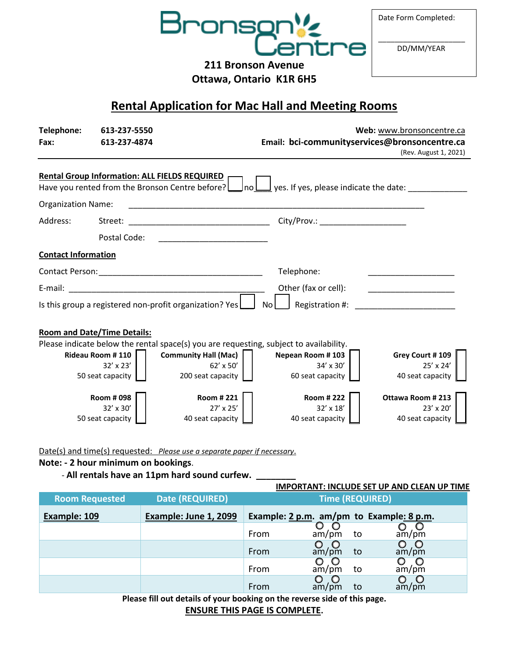

Date Form Completed:

\_\_\_\_\_\_\_\_\_\_\_\_\_\_\_\_\_\_\_\_\_ DD/MM/YEAR

**211 Bronson Avenue Ottawa, Ontario K1R 6H5**

**Rental Application for Mac Hall and Meeting Rooms**

| Telephone:                                              | 613-237-5550                                         |                                                                                                                        |                                                      | Web: www.bronsoncentre.ca                                |
|---------------------------------------------------------|------------------------------------------------------|------------------------------------------------------------------------------------------------------------------------|------------------------------------------------------|----------------------------------------------------------|
| Fax:                                                    | 613-237-4874                                         |                                                                                                                        | Email: bci-communityservices@bronsoncentre.ca        |                                                          |
|                                                         |                                                      |                                                                                                                        |                                                      | (Rev. August 1, 2021)                                    |
|                                                         | <b>Rental Group Information: ALL FIELDS REQUIRED</b> |                                                                                                                        |                                                      |                                                          |
|                                                         |                                                      | Have you rented from the Bronson Centre before?<br>_Ino L                                                              | $\frac{1}{2}$ yes. If yes, please indicate the date: |                                                          |
| <b>Organization Name:</b>                               |                                                      |                                                                                                                        |                                                      |                                                          |
| Address:                                                | Street:                                              |                                                                                                                        | City/Prov.: _______________________                  |                                                          |
|                                                         | Postal Code:                                         | <u> 1990 - Johann John Harry Harry Harry Harry Harry Harry Harry Harry Harry Harry Harry Harry Harry Harry Harry H</u> |                                                      |                                                          |
| <b>Contact Information</b>                              |                                                      |                                                                                                                        |                                                      |                                                          |
|                                                         |                                                      |                                                                                                                        | Telephone:                                           |                                                          |
| E-mail:                                                 |                                                      |                                                                                                                        | Other (fax or cell):                                 |                                                          |
| Is this group a registered non-profit organization? Yes |                                                      |                                                                                                                        | Registration #:<br>No.                               |                                                          |
|                                                         | <b>Room and Date/Time Details:</b>                   |                                                                                                                        |                                                      |                                                          |
|                                                         |                                                      | Please indicate below the rental space(s) you are requesting, subject to availability.                                 |                                                      |                                                          |
|                                                         | <b>Rideau Room #110</b>                              | <b>Community Hall (Mac)</b>                                                                                            | Nepean Room #103                                     | Grey Court #109                                          |
|                                                         | $32' \times 23'$<br>50 seat capacity                 | 62' x 50'<br>200 seat capacity                                                                                         | 34' x 30'<br>60 seat capacity                        | 25' x 24'<br>40 seat capacity                            |
|                                                         | <b>Room #098</b><br>32' x 30'<br>50 seat capacity    | Room #221<br>27' x 25'<br>40 seat capacity                                                                             | <b>Room #222</b><br>32' x 18'<br>40 seat capacity    | Ottawa Room #213<br>$23' \times 20'$<br>40 seat capacity |

Date(s) and time(s) requested: *Please use a separate paper if necessary*.

#### **Note: - 2 hour minimum on bookings**.

- **All rentals have an 11pm hard sound curfew. \_\_\_\_\_\_\_\_**

# **IMPORTANT: INCLUDE SET UP AND CLEAN UP TIME**

| <b>Date (REQUIRED)</b><br><b>Room Requested</b> |                       | <b>Time (REQUIRED)</b> |       |    |                                          |
|-------------------------------------------------|-----------------------|------------------------|-------|----|------------------------------------------|
| Example: 109                                    | Example: June 1, 2099 |                        |       |    | Example: 2 p.m. am/pm to Example: 8 p.m. |
|                                                 |                       | From                   | am/pm | to | am/m                                     |
|                                                 |                       | From                   | am/pm | to | $\overline{O}$<br>am/pm                  |
|                                                 |                       | From                   | am/pm | to | am/pm                                    |
|                                                 |                       | From                   | am/pm | to | $\circ$<br>am/pm                         |

**Please fill out details of your booking on the reverse side of this page.**

**ENSURE THIS PAGE IS COMPLETE.**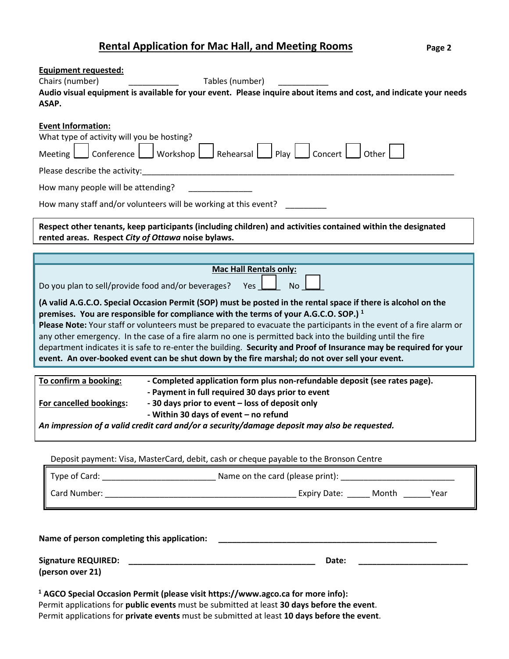## **Rental Application for Mac Hall, and Meeting Rooms**

| <b>Equipment requested:</b>                                                                                                                                                                                                                                                                                                                                                                                                                                                                                                                                                                                                                                                   |  |  |  |  |  |  |
|-------------------------------------------------------------------------------------------------------------------------------------------------------------------------------------------------------------------------------------------------------------------------------------------------------------------------------------------------------------------------------------------------------------------------------------------------------------------------------------------------------------------------------------------------------------------------------------------------------------------------------------------------------------------------------|--|--|--|--|--|--|
| Chairs (number)<br>Tables (number)                                                                                                                                                                                                                                                                                                                                                                                                                                                                                                                                                                                                                                            |  |  |  |  |  |  |
| Audio visual equipment is available for your event. Please inquire about items and cost, and indicate your needs                                                                                                                                                                                                                                                                                                                                                                                                                                                                                                                                                              |  |  |  |  |  |  |
| ASAP.                                                                                                                                                                                                                                                                                                                                                                                                                                                                                                                                                                                                                                                                         |  |  |  |  |  |  |
| <b>Event Information:</b><br>What type of activity will you be hosting?                                                                                                                                                                                                                                                                                                                                                                                                                                                                                                                                                                                                       |  |  |  |  |  |  |
| Meeting Conference Workshop Rehearsal Play Concert Other                                                                                                                                                                                                                                                                                                                                                                                                                                                                                                                                                                                                                      |  |  |  |  |  |  |
| Please describe the activity:                                                                                                                                                                                                                                                                                                                                                                                                                                                                                                                                                                                                                                                 |  |  |  |  |  |  |
| How many people will be attending?                                                                                                                                                                                                                                                                                                                                                                                                                                                                                                                                                                                                                                            |  |  |  |  |  |  |
| How many staff and/or volunteers will be working at this event?                                                                                                                                                                                                                                                                                                                                                                                                                                                                                                                                                                                                               |  |  |  |  |  |  |
| Respect other tenants, keep participants (including children) and activities contained within the designated<br>rented areas. Respect City of Ottawa noise bylaws.                                                                                                                                                                                                                                                                                                                                                                                                                                                                                                            |  |  |  |  |  |  |
|                                                                                                                                                                                                                                                                                                                                                                                                                                                                                                                                                                                                                                                                               |  |  |  |  |  |  |
| <b>Mac Hall Rentals only:</b>                                                                                                                                                                                                                                                                                                                                                                                                                                                                                                                                                                                                                                                 |  |  |  |  |  |  |
| Do you plan to sell/provide food and/or beverages?<br><b>No</b><br>Yes                                                                                                                                                                                                                                                                                                                                                                                                                                                                                                                                                                                                        |  |  |  |  |  |  |
| (A valid A.G.C.O. Special Occasion Permit (SOP) must be posted in the rental space if there is alcohol on the<br>premises. You are responsible for compliance with the terms of your A.G.C.O. SOP.) <sup>1</sup><br>Please Note: Your staff or volunteers must be prepared to evacuate the participants in the event of a fire alarm or<br>any other emergency. In the case of a fire alarm no one is permitted back into the building until the fire<br>department indicates it is safe to re-enter the building. Security and Proof of Insurance may be required for your<br>event. An over-booked event can be shut down by the fire marshal; do not over sell your event. |  |  |  |  |  |  |
| To confirm a booking:<br>- Completed application form plus non-refundable deposit (see rates page).<br>- Payment in full required 30 days prior to event<br>- 30 days prior to event - loss of deposit only<br>For cancelled bookings:<br>- Within 30 days of event - no refund<br>An impression of a valid credit card and/or a security/damage deposit may also be requested.                                                                                                                                                                                                                                                                                               |  |  |  |  |  |  |
| Deposit payment: Visa, MasterCard, debit, cash or cheque payable to the Bronson Centre                                                                                                                                                                                                                                                                                                                                                                                                                                                                                                                                                                                        |  |  |  |  |  |  |
|                                                                                                                                                                                                                                                                                                                                                                                                                                                                                                                                                                                                                                                                               |  |  |  |  |  |  |
|                                                                                                                                                                                                                                                                                                                                                                                                                                                                                                                                                                                                                                                                               |  |  |  |  |  |  |
|                                                                                                                                                                                                                                                                                                                                                                                                                                                                                                                                                                                                                                                                               |  |  |  |  |  |  |
|                                                                                                                                                                                                                                                                                                                                                                                                                                                                                                                                                                                                                                                                               |  |  |  |  |  |  |
| Date:                                                                                                                                                                                                                                                                                                                                                                                                                                                                                                                                                                                                                                                                         |  |  |  |  |  |  |
| (person over 21)                                                                                                                                                                                                                                                                                                                                                                                                                                                                                                                                                                                                                                                              |  |  |  |  |  |  |
| <sup>1</sup> AGCO Special Occasion Permit (please visit https://www.agco.ca for more info):<br>Permit applications for public events must be submitted at least 30 days before the event.<br>Permit applications for private events must be submitted at least 10 days before the event.                                                                                                                                                                                                                                                                                                                                                                                      |  |  |  |  |  |  |